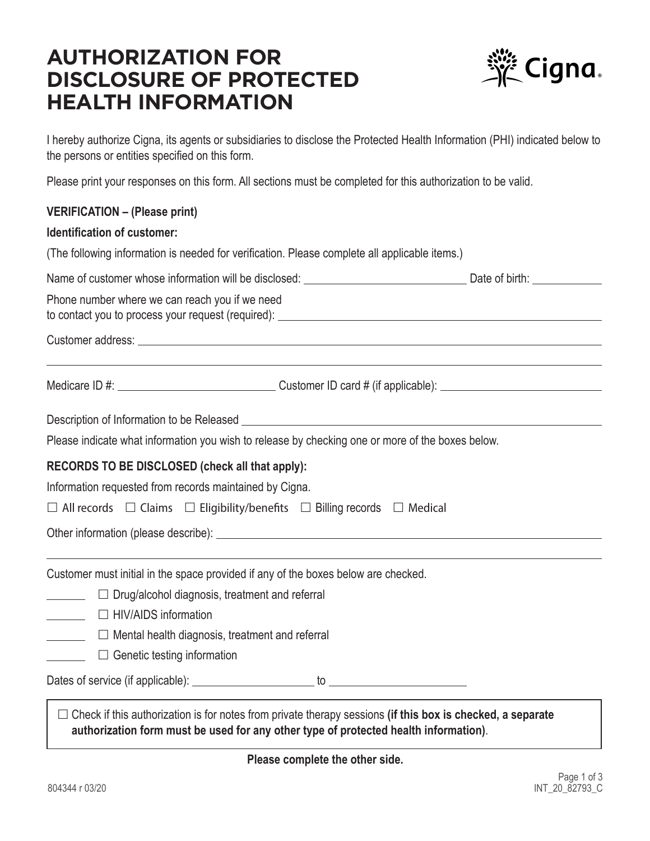# **AUTHORIZATION FOR DISCLOSURE OF PROTECTED HEALTH INFORMATION**



I hereby authorize Cigna, its agents or subsidiaries to disclose the Protected Health Information (PHI) indicated below to the persons or entities specified on this form.

Please print your responses on this form. All sections must be completed for this authorization to be valid.

## **VERIFICATION – (Please print)**

#### **Identification of customer:**

(The following information is needed for verification. Please complete all applicable items.)

| Name of customer whose information will be disclosed: | Date of birth: |  |
|-------------------------------------------------------|----------------|--|
|                                                       |                |  |

Phone number where we can reach you if we need to contact you to process your request (required):

#### Customer address:

Medicare ID #: Customer ID card # (if applicable):

Description of Information to be Released Lease and Contact the Contact of Information to be Released

Please indicate what information you wish to release by checking one or more of the boxes below.

## **RECORDS TO BE DISCLOSED (check all that apply):**

Information requested from records maintained by Cigna.

 $\Box$  All records  $\Box$  Claims  $\Box$  Eligibility/benefits  $\Box$  Billing records  $\Box$  Medical

Other information (please describe):

Customer must initial in the space provided if any of the boxes below are checked.

- $\Box$  Drug/alcohol diagnosis, treatment and referral
- □ HIV/AIDS information
- **Mental health diagnosis, treatment and referral**
- □ Genetic testing information

Dates of service (if applicable): to

□ Check if this authorization is for notes from private therapy sessions (if this box is checked, a separate **authorization form must be used for any other type of protected health information)**.

**Please complete the other side.**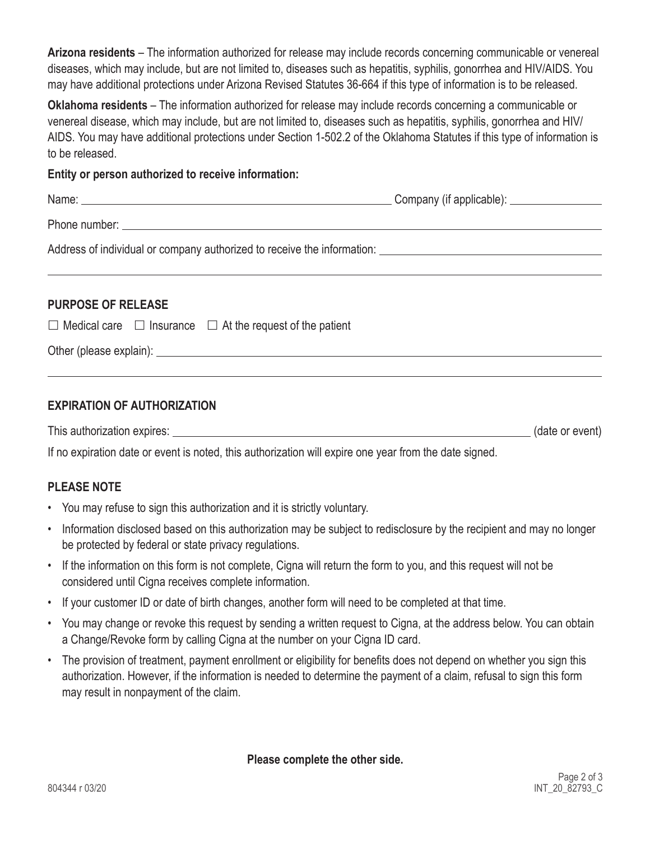**Arizona residents** – The information authorized for release may include records concerning communicable or venereal diseases, which may include, but are not limited to, diseases such as hepatitis, syphilis, gonorrhea and HIV/AIDS. You may have additional protections under Arizona Revised Statutes 36-664 if this type of information is to be released.

**Oklahoma residents** – The information authorized for release may include records concerning a communicable or venereal disease, which may include, but are not limited to, diseases such as hepatitis, syphilis, gonorrhea and HIV/ AIDS. You may have additional protections under Section 1-502.2 of the Oklahoma Statutes if this type of information is to be released.

## **Entity or person authorized to receive information:**

|                      | Company (if applicable): __________________ |
|----------------------|---------------------------------------------|
|                      |                                             |
|                      |                                             |
| DIIDDOSE OF DEI EASE |                                             |

# **PURPOSE OF RELEASE**

 $\Box$  Medical care  $\Box$  Insurance  $\Box$  At the request of the patient

Other (please explain):

# **EXPIRATION OF AUTHORIZATION**

This authorization expires: (date or event)

If no expiration date or event is noted, this authorization will expire one year from the date signed.

# **PLEASE NOTE**

- You may refuse to sign this authorization and it is strictly voluntary.
- Information disclosed based on this authorization may be subject to redisclosure by the recipient and may no longer be protected by federal or state privacy regulations.
- If the information on this form is not complete, Cigna will return the form to you, and this request will not be considered until Cigna receives complete information.
- If your customer ID or date of birth changes, another form will need to be completed at that time.
- You may change or revoke this request by sending a written request to Cigna, at the address below. You can obtain a Change/Revoke form by calling Cigna at the number on your Cigna ID card.
- The provision of treatment, payment enrollment or eligibility for benefits does not depend on whether you sign this authorization. However, if the information is needed to determine the payment of a claim, refusal to sign this form may result in nonpayment of the claim.